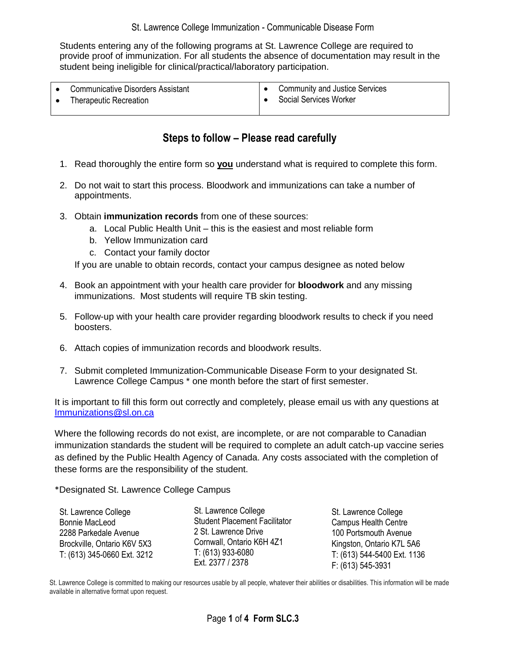Students entering any of the following programs at St. Lawrence College are required to provide proof of immunization. For all students the absence of documentation may result in the student being ineligible for clinical/practical/laboratory participation.

| <b>Communicative Disorders Assistant</b><br><b>Therapeutic Recreation</b> | <b>Community and Justice Services</b><br>Social Services Worker |
|---------------------------------------------------------------------------|-----------------------------------------------------------------|
|                                                                           |                                                                 |

## **Steps to follow – Please read carefully**

- 1. Read thoroughly the entire form so **you** understand what is required to complete this form.
- 2. Do not wait to start this process. Bloodwork and immunizations can take a number of appointments.
- 3. Obtain **immunization records** from one of these sources:
	- a. Local Public Health Unit this is the easiest and most reliable form
	- b. Yellow Immunization card
	- c. Contact your family doctor

If you are unable to obtain records, contact your campus designee as noted below

- 4. Book an appointment with your health care provider for **bloodwork** and any missing immunizations. Most students will require TB skin testing.
- 5. Follow-up with your health care provider regarding bloodwork results to check if you need boosters.
- 6. Attach copies of immunization records and bloodwork results.
- 7. Submit completed Immunization-Communicable Disease Form to your designated St. Lawrence College Campus \* one month before the start of first semester.

It is important to fill this form out correctly and completely, please email us with any questions at [Immunizations@sl.on.ca](mailto:Immunizations@sl.on.ca)

Where the following records do not exist, are incomplete, or are not comparable to Canadian immunization standards the student will be required to complete an adult catch-up vaccine series as defined by the Public Health Agency of Canada. Any costs associated with the completion of these forms are the responsibility of the student.

\*Designated St. Lawrence College Campus

St. Lawrence College Student Placement Facilitator 2 St. Lawrence Drive Cornwall, Ontario K6H 4Z1 T: (613) 933-6080 Ext. 2377 / 2378

St. Lawrence College Campus Health Centre 100 Portsmouth Avenue Kingston, Ontario K7L 5A6 T: (613) 544-5400 Ext. 1136 F: (613) 545-3931

St. Lawrence College is committed to making our resources usable by all people, whatever their abilities or disabilities. This information will be made available in alternative format upon request.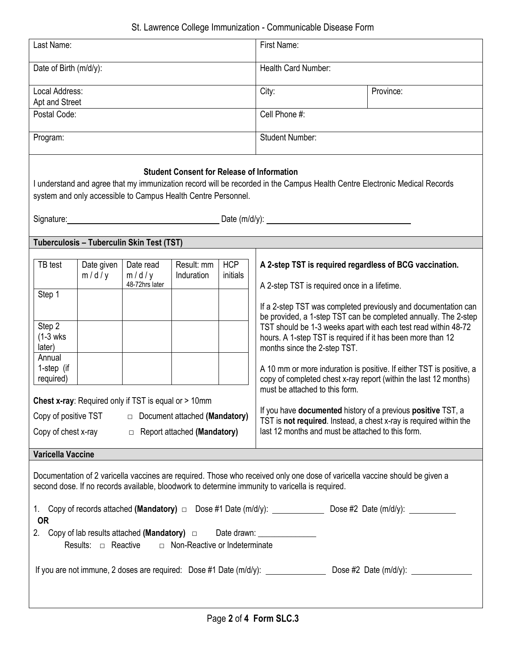| Last Name:                                                                                                                                                                                                                                                                                                                                                                                                                                                                                                                  |                                            |                                                                                              |                                                                                                 |                        | First Name:                                                                                                                                                                                                                                                                                                                                                                                                                                                                                                                                                               |                                                                                                                                                                                                           |  |
|-----------------------------------------------------------------------------------------------------------------------------------------------------------------------------------------------------------------------------------------------------------------------------------------------------------------------------------------------------------------------------------------------------------------------------------------------------------------------------------------------------------------------------|--------------------------------------------|----------------------------------------------------------------------------------------------|-------------------------------------------------------------------------------------------------|------------------------|---------------------------------------------------------------------------------------------------------------------------------------------------------------------------------------------------------------------------------------------------------------------------------------------------------------------------------------------------------------------------------------------------------------------------------------------------------------------------------------------------------------------------------------------------------------------------|-----------------------------------------------------------------------------------------------------------------------------------------------------------------------------------------------------------|--|
| Date of Birth (m/d/y):                                                                                                                                                                                                                                                                                                                                                                                                                                                                                                      |                                            |                                                                                              |                                                                                                 |                        | Health Card Number:                                                                                                                                                                                                                                                                                                                                                                                                                                                                                                                                                       |                                                                                                                                                                                                           |  |
| Local Address:<br>Apt and Street                                                                                                                                                                                                                                                                                                                                                                                                                                                                                            |                                            |                                                                                              |                                                                                                 |                        | City:                                                                                                                                                                                                                                                                                                                                                                                                                                                                                                                                                                     | Province:                                                                                                                                                                                                 |  |
| Postal Code:                                                                                                                                                                                                                                                                                                                                                                                                                                                                                                                |                                            |                                                                                              |                                                                                                 |                        | Cell Phone #:                                                                                                                                                                                                                                                                                                                                                                                                                                                                                                                                                             |                                                                                                                                                                                                           |  |
| Program:                                                                                                                                                                                                                                                                                                                                                                                                                                                                                                                    |                                            |                                                                                              |                                                                                                 |                        | <b>Student Number:</b>                                                                                                                                                                                                                                                                                                                                                                                                                                                                                                                                                    |                                                                                                                                                                                                           |  |
| <b>Student Consent for Release of Information</b><br>I understand and agree that my immunization record will be recorded in the Campus Health Centre Electronic Medical Records<br>system and only accessible to Campus Health Centre Personnel.                                                                                                                                                                                                                                                                            |                                            |                                                                                              |                                                                                                 |                        |                                                                                                                                                                                                                                                                                                                                                                                                                                                                                                                                                                           |                                                                                                                                                                                                           |  |
|                                                                                                                                                                                                                                                                                                                                                                                                                                                                                                                             |                                            | Tuberculosis - Tuberculin Skin Test (TST)                                                    |                                                                                                 |                        |                                                                                                                                                                                                                                                                                                                                                                                                                                                                                                                                                                           |                                                                                                                                                                                                           |  |
| TB test<br>Step 1<br>Step 2<br>$(1-3$ wks<br>later)<br>Annual<br>1-step (if<br>required)<br>Copy of positive TST                                                                                                                                                                                                                                                                                                                                                                                                            | Date given<br>m/d/y<br>Copy of chest x-ray | Date read<br>m/d/y<br>48-72hrs later<br>Chest x-ray: Required only if TST is equal or > 10mm | Result: mm<br>Induration<br>Document attached (Mandatory)<br>$\Box$ Report attached (Mandatory) | <b>HCP</b><br>initials | A 2-step TST is required regardless of BCG vaccination.<br>A 2-step TST is required once in a lifetime.<br>TST should be 1-3 weeks apart with each test read within 48-72<br>hours. A 1-step TST is required if it has been more than 12<br>months since the 2-step TST.<br>copy of completed chest x-ray report (within the last 12 months)<br>must be attached to this form.<br>If you have documented history of a previous positive TST, a<br>TST is not required. Instead, a chest x-ray is required within the<br>last 12 months and must be attached to this form. | If a 2-step TST was completed previously and documentation can<br>be provided, a 1-step TST can be completed annually. The 2-step<br>A 10 mm or more induration is positive. If either TST is positive, a |  |
| Varicella Vaccine                                                                                                                                                                                                                                                                                                                                                                                                                                                                                                           |                                            |                                                                                              |                                                                                                 |                        |                                                                                                                                                                                                                                                                                                                                                                                                                                                                                                                                                                           |                                                                                                                                                                                                           |  |
| Documentation of 2 varicella vaccines are required. Those who received only one dose of varicella vaccine should be given a<br>second dose. If no records available, bloodwork to determine immunity to varicella is required.<br>1. Copy of records attached (Mandatory) $\Box$ Dose #1 Date (m/d/y): ______________ Dose #2 Date (m/d/y): ___________<br><b>OR</b><br>2. Copy of lab results attached (Mandatory) $\Box$ Date drawn: ___________________<br>Results: $\Box$ Reactive $\Box$ Non-Reactive or Indeterminate |                                            |                                                                                              |                                                                                                 |                        |                                                                                                                                                                                                                                                                                                                                                                                                                                                                                                                                                                           |                                                                                                                                                                                                           |  |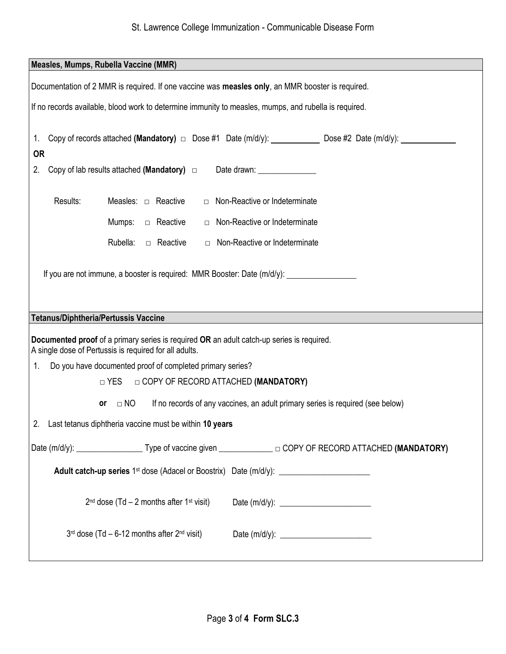## St. Lawrence College Immunization - Communicable Disease Form

| Measles, Mumps, Rubella Vaccine (MMR)                                                                                                               |  |  |  |  |  |  |
|-----------------------------------------------------------------------------------------------------------------------------------------------------|--|--|--|--|--|--|
| Documentation of 2 MMR is required. If one vaccine was measles only, an MMR booster is required.                                                    |  |  |  |  |  |  |
|                                                                                                                                                     |  |  |  |  |  |  |
| If no records available, blood work to determine immunity to measles, mumps, and rubella is required.                                               |  |  |  |  |  |  |
| Copy of records attached (Mandatory) $\Box$ Dose #1 Date (m/d/y): _____________ Dose #2 Date (m/d/y): __________<br>$1_{\cdot}$                     |  |  |  |  |  |  |
| <b>OR</b>                                                                                                                                           |  |  |  |  |  |  |
| Copy of lab results attached (Mandatory) $\Box$ Date drawn:<br>2.                                                                                   |  |  |  |  |  |  |
| Results:<br>Measles: $\Box$ Reactive<br>$\Box$ Non-Reactive or Indeterminate                                                                        |  |  |  |  |  |  |
| □ Non-Reactive or Indeterminate<br>Mumps: $\Box$ Reactive                                                                                           |  |  |  |  |  |  |
|                                                                                                                                                     |  |  |  |  |  |  |
| Rubella:<br>□ Reactive<br>$\Box$ Non-Reactive or Indeterminate                                                                                      |  |  |  |  |  |  |
| If you are not immune, a booster is required: MMR Booster: Date (m/d/y):                                                                            |  |  |  |  |  |  |
|                                                                                                                                                     |  |  |  |  |  |  |
|                                                                                                                                                     |  |  |  |  |  |  |
| <b>Tetanus/Diphtheria/Pertussis Vaccine</b>                                                                                                         |  |  |  |  |  |  |
| Documented proof of a primary series is required OR an adult catch-up series is required.<br>A single dose of Pertussis is required for all adults. |  |  |  |  |  |  |
| Do you have documented proof of completed primary series?<br>1 <sub>1</sub>                                                                         |  |  |  |  |  |  |
| □ YES □ COPY OF RECORD ATTACHED (MANDATORY)                                                                                                         |  |  |  |  |  |  |
| $\Box$ NO<br>If no records of any vaccines, an adult primary series is required (see below)<br><b>or</b>                                            |  |  |  |  |  |  |
| 2. Last tetanus diphtheria vaccine must be within 10 years                                                                                          |  |  |  |  |  |  |
|                                                                                                                                                     |  |  |  |  |  |  |
|                                                                                                                                                     |  |  |  |  |  |  |
|                                                                                                                                                     |  |  |  |  |  |  |
| $2^{nd}$ dose (Td – 2 months after 1 <sup>st</sup> visit)                                                                                           |  |  |  |  |  |  |
| $3rd$ dose (Td – 6-12 months after $2nd$ visit)                                                                                                     |  |  |  |  |  |  |
|                                                                                                                                                     |  |  |  |  |  |  |